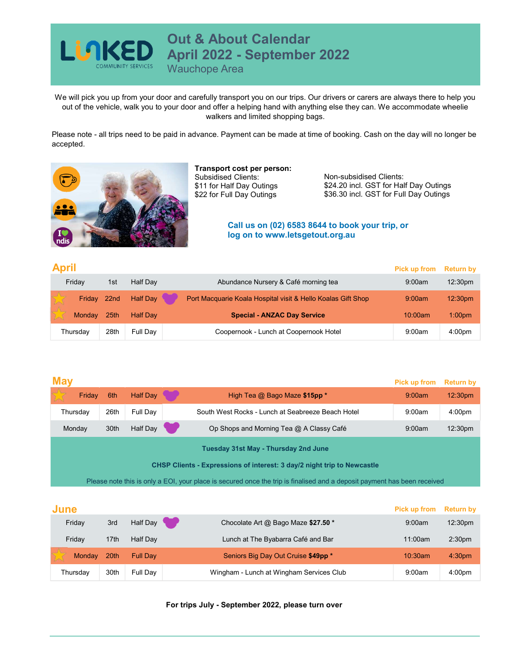

Out & About Calendar<br>April 2022 - September 2022

Wauchope Area

We will pick you up from your door and carefully transport you on our trips. Our drivers or carers are always there to help you out of the vehicle, walk you to your door and offer a helping hand with anything else they can. We accommodate wheelie walkers and limited shopping bags. **Out & About Calendar<br>April 2022 - September 2022**<br>Wauchope Area<br>or and carefully transport you on our trips. Our drivers or carers are always there to help you<br>our door and offer a helping hand with anything else they can **Calendar<br>
2 - September 2022**<br>
France and the solution of the solution of the state and the state of booking.<br>
In a helping hand with anything else they can. We accommodate wheelie<br>
s and limited shopping bags.<br>
All us on

Please note - all trips need to be paid in advance. Payment can be made at time of booking. Cash on the day will no longer be accepted.



Transport cost per person: Subsidised Clients: \$11 for Half Day Outings \$22 for Full Day Outings

Non-subsidised Clients: \$24.20 incl. GST for Half Day Outings \$36.30 incl. GST for Full Day Outings

## log on to www.letsgetout.org.au

| <b>April</b> |             | Pick up from Return by |                 |                                                              |         |                     |
|--------------|-------------|------------------------|-----------------|--------------------------------------------------------------|---------|---------------------|
| Friday       |             | 1st                    | <b>Half Dav</b> | Abundance Nursery & Café morning tea                         | 9:00am  | 12:30 <sub>pm</sub> |
|              | Friday 22nd |                        | <b>Half Dav</b> | Port Macquarie Koala Hospital visit & Hello Koalas Gift Shop | 9:00am  | 12:30 <sub>pm</sub> |
|              | Monday      | 25th                   | <b>Half Dav</b> | <b>Special - ANZAC Day Service</b>                           | 10:00am | 1:00 <sub>pm</sub>  |
|              | Thursday    | 28th                   | Full Dav        | Coopernook - Lunch at Coopernook Hotel                       | 9:00am  | 4:00 <sub>pm</sub>  |

|                                                   |                                                                                 |                 |                                                   | <b>Pick up from</b>                                                     | <b>Return by</b>                                                                                                         |  |  |  |
|---------------------------------------------------|---------------------------------------------------------------------------------|-----------------|---------------------------------------------------|-------------------------------------------------------------------------|--------------------------------------------------------------------------------------------------------------------------|--|--|--|
| Friday                                            | 6th                                                                             | <b>Half Day</b> | High Tea @ Bago Maze \$15pp *                     | 9:00am                                                                  | 12:30pm                                                                                                                  |  |  |  |
|                                                   | 26th                                                                            | Full Day        | South West Rocks - Lunch at Seabreeze Beach Hotel | 9:00am                                                                  | 4:00pm                                                                                                                   |  |  |  |
|                                                   | 30th                                                                            | Half Day        | Op Shops and Morning Tea @ A Classy Café          | 9:00am                                                                  | 12:30pm                                                                                                                  |  |  |  |
|                                                   |                                                                                 |                 | <b>Tuesday 31st May - Thursday 2nd June</b>       |                                                                         |                                                                                                                          |  |  |  |
|                                                   |                                                                                 |                 |                                                   |                                                                         |                                                                                                                          |  |  |  |
|                                                   |                                                                                 |                 |                                                   |                                                                         |                                                                                                                          |  |  |  |
|                                                   |                                                                                 |                 |                                                   |                                                                         |                                                                                                                          |  |  |  |
|                                                   |                                                                                 |                 |                                                   | <b>Pick up from</b>                                                     | <b>Return by</b>                                                                                                         |  |  |  |
|                                                   | 3rd                                                                             | Half Day        | Chocolate Art @ Bago Maze \$27.50 *               | 9:00am                                                                  | 12:30pm                                                                                                                  |  |  |  |
|                                                   | 17th                                                                            | Half Day        | Lunch at The Byabarra Café and Bar                | 11:00am                                                                 | 2:30 <sub>pm</sub>                                                                                                       |  |  |  |
| Monday                                            | 20th                                                                            | <b>Full Day</b> | Seniors Big Day Out Cruise \$49pp *               | 10:30am                                                                 | 4:30 <sub>pm</sub>                                                                                                       |  |  |  |
|                                                   | 30th                                                                            | Full Day        | Wingham - Lunch at Wingham Services Club          | 9:00am                                                                  | 4:00pm                                                                                                                   |  |  |  |
|                                                   |                                                                                 |                 |                                                   |                                                                         |                                                                                                                          |  |  |  |
| For trips July - September 2022, please turn over |                                                                                 |                 |                                                   |                                                                         |                                                                                                                          |  |  |  |
|                                                   |                                                                                 |                 |                                                   |                                                                         |                                                                                                                          |  |  |  |
|                                                   |                                                                                 |                 |                                                   |                                                                         |                                                                                                                          |  |  |  |
|                                                   |                                                                                 |                 |                                                   |                                                                         |                                                                                                                          |  |  |  |
|                                                   | <b>May</b><br>Thursday<br>Monday<br><b>June</b><br>Friday<br>Friday<br>Thursday |                 |                                                   | CHSP Clients - Expressions of interest: 3 day/2 night trip to Newcastle | Please note this is only a EOI, your place is secured once the trip is finalised and a deposit payment has been received |  |  |  |

| June          | <b>Pick up from</b> | <b>Return by</b> |                                          |         |                     |
|---------------|---------------------|------------------|------------------------------------------|---------|---------------------|
| Friday        | 3rd                 | Half Day         | Chocolate Art @ Bago Maze \$27.50 *      | 9:00am  | 12:30 <sub>pm</sub> |
| Fridav        | 17th                | <b>Half Dav</b>  | Lunch at The Byabarra Café and Bar       | 11:00am | 2:30 <sub>pm</sub>  |
| <b>Monday</b> | 20th                | <b>Full Dav</b>  | Seniors Big Day Out Cruise \$49pp *      | 10:30am | 4:30 <sub>pm</sub>  |
| Thursday      | 30th                | Full Day         | Wingham - Lunch at Wingham Services Club | 9:00am  | 4:00 <sub>pm</sub>  |